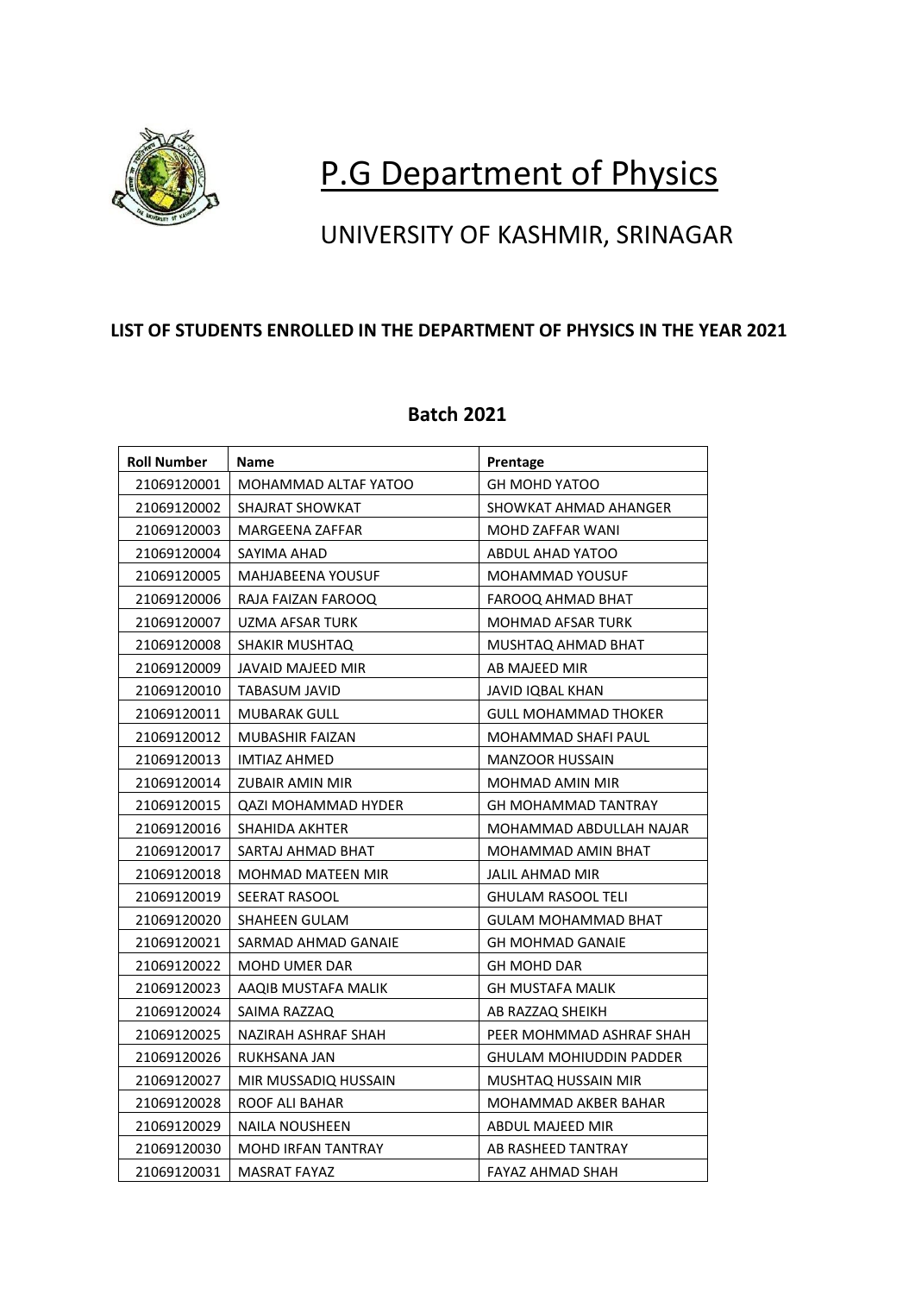

# P.G Department of Physics

## UNIVERSITY OF KASHMIR, SRINAGAR

#### **LIST OF STUDENTS ENROLLED IN THE DEPARTMENT OF PHYSICS IN THE YEAR 2021**

#### **Roll Number Name Prentage** 21069120001 MOHAMMAD ALTAF YATOO GH MOHD YATOO 21069120002 | SHAJRAT SHOWKAT SHOWKAT | SHOWKAT AHMAD AHANGER 21069120003 | MARGEENA ZAFFAR MOHD ZAFFAR WANI 21069120004 SAYIMA AHAD ABDUL AHAD YATOO 21069120005 | MAHJABEENA YOUSUF | MOHAMMAD YOUSUF 21069120006 RAJA FAIZAN FAROOQ FAROOQ AHMAD BHAT 21069120007 | UZMA AFSAR TURK | MOHMAD AFSAR TURK 21069120008 SHAKIR MUSHTAQ MUSHTAQ MUSHTAQ AHMAD BHAT 21069120009 JJAVAID MAJEED MIR AB MAJEED MIR 21069120010 | TABASUM JAVID | JAVID IQBAL KHAN 21069120011 | MUBARAK GULL **CHARAK GULL CONTROLL CONTROLL CONTROLL** GULL MOHAMMAD THOKER 21069120012 | MUBASHIR FAIZAN | MOHAMMAD SHAFI PAUL 21069120013 | IMTIAZ AHMED | MANZOOR HUSSAIN 21069120014 | ZUBAIR AMIN MIR | MOHMAD AMIN MIR 21069120015 QAZI MOHAMMAD HYDER GH MOHAMMAD TANTRAY 21069120016 SHAHIDA AKHTER MOHAMMAD ABDULLAH NAJAR 21069120017 SARTAJ AHMAD BHAT MOHAMMAD AMIN BHAT 21069120018 | MOHMAD MATEEN MIR | JALIL AHMAD MIR 21069120019 SEERAT RASOOL GHULAM RASOOL TELI 21069120020 SHAHEEN GULAM GULAM GULAM MOHAMMAD BHAT 21069120021 SARMAD AHMAD GANAIE GH MOHMAD GANAIE 21069120022 | MOHD UMER DAR GH MOHD DAR 21069120023 | AAQIB MUSTAFA MALIK | GH MUSTAFA MALIK 21069120024 SAIMA RAZZAQ AB RAZZAQ SHEIKH 21069120025 | NAZIRAH ASHRAF SHAH | PEER MOHMMAD ASHRAF SHAH 21069120026 RUKHSANA JAN GHULAM MOHIUDDIN PADDER 21069120027 | MIR MUSSADIQ HUSSAIN | MUSHTAQ HUSSAIN MIR 21069120028 | ROOF ALI BAHAR MOHAMMAD AKBER BAHAR 21069120029 | NAILA NOUSHEEN | ABDUL MAJEED MIR 21069120030 MOHD IRFAN TANTRAY AB RASHEED TANTRAY 21069120031 | MASRAT FAYAZ FAYAZ FAYAZ AHMAD SHAH

### **Batch 2021**